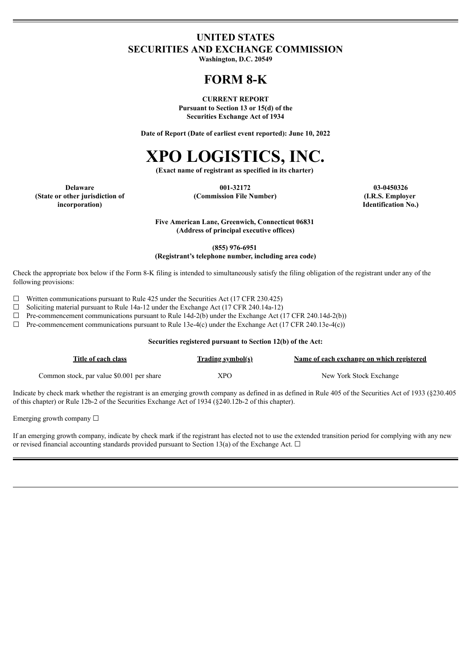# **UNITED STATES SECURITIES AND EXCHANGE COMMISSION**

**Washington, D.C. 20549**

# **FORM 8-K**

**CURRENT REPORT Pursuant to Section 13 or 15(d) of the Securities Exchange Act of 1934**

**Date of Report (Date of earliest event reported): June 10, 2022**

# **XPO LOGISTICS, INC.**

**(Exact name of registrant as specified in its charter)**

**(State or other jurisdiction of incorporation)**

**Delaware 001-32172 03-0450326 (Commission File Number) (I.R.S. Employer**

**Identification No.)**

**Five American Lane, Greenwich, Connecticut 06831 (Address of principal executive offices)**

**(855) 976-6951**

**(Registrant's telephone number, including area code)**

Check the appropriate box below if the Form 8-K filing is intended to simultaneously satisfy the filing obligation of the registrant under any of the following provisions:

 $\Box$  Written communications pursuant to Rule 425 under the Securities Act (17 CFR 230.425)

☐ Soliciting material pursuant to Rule 14a-12 under the Exchange Act (17 CFR 240.14a-12)

 $\Box$  Pre-commencement communications pursuant to Rule 14d-2(b) under the Exchange Act (17 CFR 240.14d-2(b))

 $\Box$  Pre-commencement communications pursuant to Rule 13e-4(c) under the Exchange Act (17 CFR 240.13e-4(c))

#### **Securities registered pursuant to Section 12(b) of the Act:**

| Title of each class                       | <b>Trading symbol(s)</b> | Name of each exchange on which registered |
|-------------------------------------------|--------------------------|-------------------------------------------|
| Common stock, par value \$0.001 per share | XPO                      | New York Stock Exchange                   |

Indicate by check mark whether the registrant is an emerging growth company as defined in as defined in Rule 405 of the Securities Act of 1933 (§230.405 of this chapter) or Rule 12b-2 of the Securities Exchange Act of 1934 (§240.12b-2 of this chapter).

Emerging growth company  $\Box$ 

If an emerging growth company, indicate by check mark if the registrant has elected not to use the extended transition period for complying with any new or revised financial accounting standards provided pursuant to Section 13(a) of the Exchange Act.  $\Box$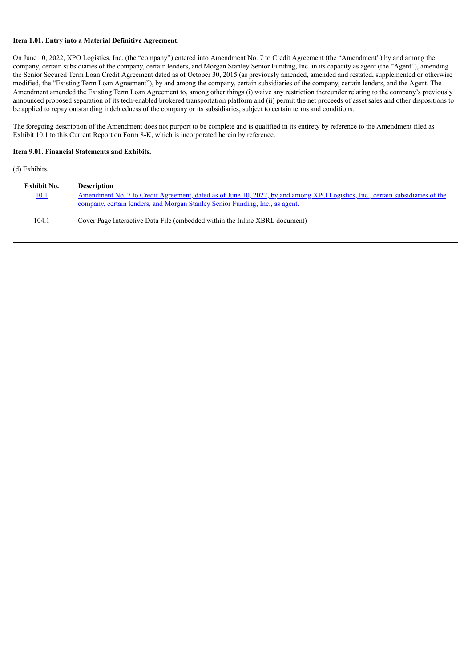#### **Item 1.01. Entry into a Material Definitive Agreement.**

On June 10, 2022, XPO Logistics, Inc. (the "company") entered into Amendment No. 7 to Credit Agreement (the "Amendment") by and among the company, certain subsidiaries of the company, certain lenders, and Morgan Stanley Senior Funding, Inc. in its capacity as agent (the "Agent"), amending the Senior Secured Term Loan Credit Agreement dated as of October 30, 2015 (as previously amended, amended and restated, supplemented or otherwise modified, the "Existing Term Loan Agreement"), by and among the company, certain subsidiaries of the company, certain lenders, and the Agent. The Amendment amended the Existing Term Loan Agreement to, among other things (i) waive any restriction thereunder relating to the company's previously announced proposed separation of its tech-enabled brokered transportation platform and (ii) permit the net proceeds of asset sales and other dispositions to be applied to repay outstanding indebtedness of the company or its subsidiaries, subject to certain terms and conditions.

The foregoing description of the Amendment does not purport to be complete and is qualified in its entirety by reference to the Amendment filed as Exhibit 10.1 to this Current Report on Form 8-K, which is incorporated herein by reference.

#### **Item 9.01. Financial Statements and Exhibits.**

(d) Exhibits.

| Exhibit No. | <b>Description</b>                                                                                                            |
|-------------|-------------------------------------------------------------------------------------------------------------------------------|
| <u>10.1</u> | Amendment No. 7 to Credit Agreement, dated as of June 10, 2022, by and among XPO Logistics, Inc., certain subsidiaries of the |
|             | <u>company, certain lenders, and Morgan Stanley Senior Funding, Inc., as agent.</u>                                           |
| 104.1       | Cover Page Interactive Data File (embedded within the Inline XBRL document)                                                   |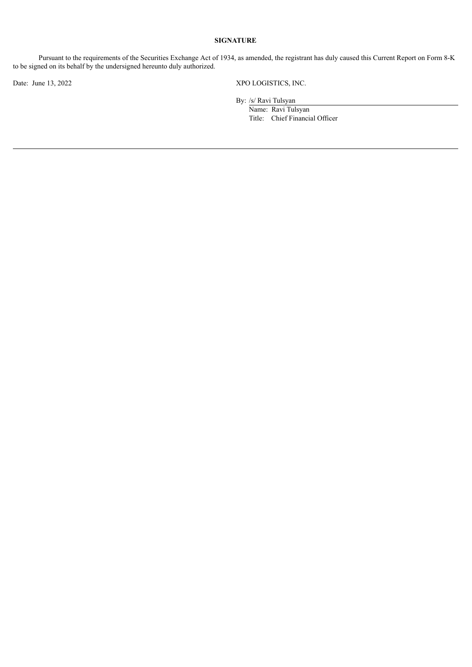#### **SIGNATURE**

Pursuant to the requirements of the Securities Exchange Act of 1934, as amended, the registrant has duly caused this Current Report on Form 8-K to be signed on its behalf by the undersigned hereunto duly authorized.

Date: June 13, 2022 XPO LOGISTICS, INC.

By: /s/ Ravi Tulsyan

Name: Ravi Tulsyan Title: Chief Financial Officer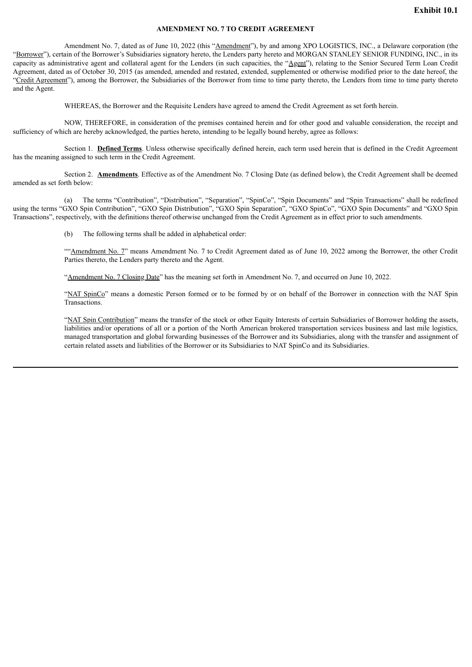#### **AMENDMENT NO. 7 TO CREDIT AGREEMENT**

<span id="page-3-0"></span>Amendment No. 7, dated as of June 10, 2022 (this "Amendment"), by and among XPO LOGISTICS, INC., a Delaware corporation (the "Borrower"), certain of the Borrower's Subsidiaries signatory hereto, the Lenders party hereto and MORGAN STANLEY SENIOR FUNDING, INC., in its capacity as administrative agent and collateral agent for the Lenders (in such capacities, the "Agent"), relating to the Senior Secured Term Loan Credit Agreement, dated as of October 30, 2015 (as amended, amended and restated, extended, supplemented or otherwise modified prior to the date hereof, the "Credit Agreement"), among the Borrower, the Subsidiaries of the Borrower from time to time party thereto, the Lenders from time to time party thereto and the Agent.

WHEREAS, the Borrower and the Requisite Lenders have agreed to amend the Credit Agreement as set forth herein.

NOW, THEREFORE, in consideration of the premises contained herein and for other good and valuable consideration, the receipt and sufficiency of which are hereby acknowledged, the parties hereto, intending to be legally bound hereby, agree as follows:

Section 1. **Defined Terms**. Unless otherwise specifically defined herein, each term used herein that is defined in the Credit Agreement has the meaning assigned to such term in the Credit Agreement.

Section 2. **Amendments**. Effective as of the Amendment No. 7 Closing Date (as defined below), the Credit Agreement shall be deemed amended as set forth below:

(a) The terms "Contribution", "Distribution", "Separation", "SpinCo", "Spin Documents" and "Spin Transactions" shall be redefined using the terms "GXO Spin Contribution", "GXO Spin Distribution", "GXO Spin Separation", "GXO SpinCo", "GXO Spin Documents" and "GXO Spin Transactions", respectively, with the definitions thereof otherwise unchanged from the Credit Agreement as in effect prior to such amendments.

(b) The following terms shall be added in alphabetical order:

""Amendment No. 7" means Amendment No. 7 to Credit Agreement dated as of June 10, 2022 among the Borrower, the other Credit Parties thereto, the Lenders party thereto and the Agent.

"Amendment No. 7 Closing Date" has the meaning set forth in Amendment No. 7, and occurred on June 10, 2022.

"NAT SpinCo" means a domestic Person formed or to be formed by or on behalf of the Borrower in connection with the NAT Spin **Transactions** 

"NAT Spin Contribution" means the transfer of the stock or other Equity Interests of certain Subsidiaries of Borrower holding the assets, liabilities and/or operations of all or a portion of the North American brokered transportation services business and last mile logistics, managed transportation and global forwarding businesses of the Borrower and its Subsidiaries, along with the transfer and assignment of certain related assets and liabilities of the Borrower or its Subsidiaries to NAT SpinCo and its Subsidiaries.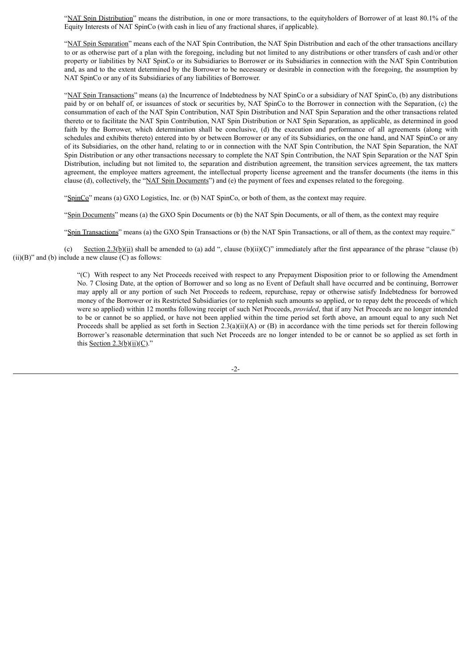"NAT Spin Distribution" means the distribution, in one or more transactions, to the equityholders of Borrower of at least 80.1% of the Equity Interests of NAT SpinCo (with cash in lieu of any fractional shares, if applicable).

"NAT Spin Separation" means each of the NAT Spin Contribution, the NAT Spin Distribution and each of the other transactions ancillary to or as otherwise part of a plan with the foregoing, including but not limited to any distributions or other transfers of cash and/or other property or liabilities by NAT SpinCo or its Subsidiaries to Borrower or its Subsidiaries in connection with the NAT Spin Contribution and, as and to the extent determined by the Borrower to be necessary or desirable in connection with the foregoing, the assumption by NAT SpinCo or any of its Subsidiaries of any liabilities of Borrower.

"NAT Spin Transactions" means (a) the Incurrence of Indebtedness by NAT SpinCo or a subsidiary of NAT SpinCo, (b) any distributions paid by or on behalf of, or issuances of stock or securities by, NAT SpinCo to the Borrower in connection with the Separation, (c) the consummation of each of the NAT Spin Contribution, NAT Spin Distribution and NAT Spin Separation and the other transactions related thereto or to facilitate the NAT Spin Contribution, NAT Spin Distribution or NAT Spin Separation, as applicable, as determined in good faith by the Borrower, which determination shall be conclusive, (d) the execution and performance of all agreements (along with schedules and exhibits thereto) entered into by or between Borrower or any of its Subsidiaries, on the one hand, and NAT SpinCo or any of its Subsidiaries, on the other hand, relating to or in connection with the NAT Spin Contribution, the NAT Spin Separation, the NAT Spin Distribution or any other transactions necessary to complete the NAT Spin Contribution, the NAT Spin Separation or the NAT Spin Distribution, including but not limited to, the separation and distribution agreement, the transition services agreement, the tax matters agreement, the employee matters agreement, the intellectual property license agreement and the transfer documents (the items in this clause (d), collectively, the "NAT Spin Documents") and (e) the payment of fees and expenses related to the foregoing.

"SpinCo" means (a) GXO Logistics, Inc. or (b) NAT SpinCo, or both of them, as the context may require.

"Spin Documents" means (a) the GXO Spin Documents or (b) the NAT Spin Documents, or all of them, as the context may require

"Spin Transactions" means (a) the GXO Spin Transactions or (b) the NAT Spin Transactions, or all of them, as the context may require."

(c) Section 2.3(b)(ii) shall be amended to (a) add ", clause (b)(ii)(C)" immediately after the first appearance of the phrase "clause (b)  $(ii)(B)$ " and (b) include a new clause  $(C)$  as follows:

> "(C) With respect to any Net Proceeds received with respect to any Prepayment Disposition prior to or following the Amendment No. 7 Closing Date, at the option of Borrower and so long as no Event of Default shall have occurred and be continuing, Borrower may apply all or any portion of such Net Proceeds to redeem, repurchase, repay or otherwise satisfy Indebtedness for borrowed money of the Borrower or its Restricted Subsidiaries (or to replenish such amounts so applied, or to repay debt the proceeds of which were so applied) within 12 months following receipt of such Net Proceeds, *provided*, that if any Net Proceeds are no longer intended to be or cannot be so applied, or have not been applied within the time period set forth above, an amount equal to any such Net Proceeds shall be applied as set forth in Section 2.3(a)(ii)(A) or (B) in accordance with the time periods set for therein following Borrower's reasonable determination that such Net Proceeds are no longer intended to be or cannot be so applied as set forth in this Section  $2.3(b)(ii)(C)$ ."

> > -2-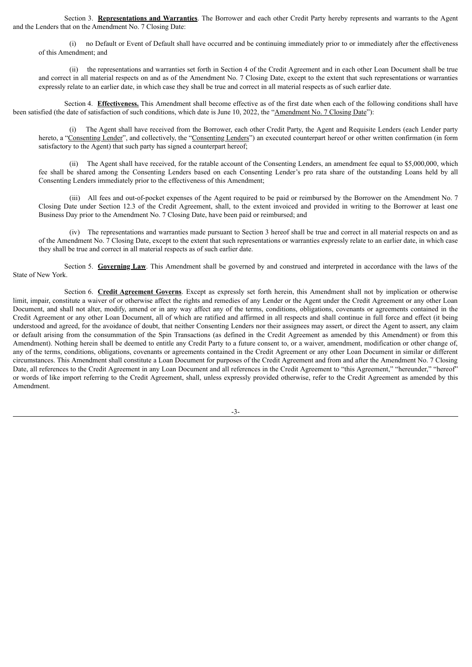Section 3. **Representations and Warranties**. The Borrower and each other Credit Party hereby represents and warrants to the Agent and the Lenders that on the Amendment No. 7 Closing Date:

(i) no Default or Event of Default shall have occurred and be continuing immediately prior to or immediately after the effectiveness of this Amendment; and

(ii) the representations and warranties set forth in Section 4 of the Credit Agreement and in each other Loan Document shall be true and correct in all material respects on and as of the Amendment No. 7 Closing Date, except to the extent that such representations or warranties expressly relate to an earlier date, in which case they shall be true and correct in all material respects as of such earlier date.

Section 4. **Effectiveness.** This Amendment shall become effective as of the first date when each of the following conditions shall have been satisfied (the date of satisfaction of such conditions, which date is June 10, 2022, the "Amendment No. 7 Closing Date"):

(i) The Agent shall have received from the Borrower, each other Credit Party, the Agent and Requisite Lenders (each Lender party hereto, a "Consenting Lender", and collectively, the "Consenting Lenders") an executed counterpart hereof or other written confirmation (in form satisfactory to the Agent) that such party has signed a counterpart hereof;

(ii) The Agent shall have received, for the ratable account of the Consenting Lenders, an amendment fee equal to \$5,000,000, which fee shall be shared among the Consenting Lenders based on each Consenting Lender's pro rata share of the outstanding Loans held by all Consenting Lenders immediately prior to the effectiveness of this Amendment;

(iii) All fees and out-of-pocket expenses of the Agent required to be paid or reimbursed by the Borrower on the Amendment No. 7 Closing Date under Section 12.3 of the Credit Agreement, shall, to the extent invoiced and provided in writing to the Borrower at least one Business Day prior to the Amendment No. 7 Closing Date, have been paid or reimbursed; and

(iv) The representations and warranties made pursuant to Section 3 hereof shall be true and correct in all material respects on and as of the Amendment No. 7 Closing Date, except to the extent that such representations or warranties expressly relate to an earlier date, in which case they shall be true and correct in all material respects as of such earlier date.

Section 5. **Governing Law**. This Amendment shall be governed by and construed and interpreted in accordance with the laws of the State of New York.

Section 6. **Credit Agreement Governs**. Except as expressly set forth herein, this Amendment shall not by implication or otherwise limit, impair, constitute a waiver of or otherwise affect the rights and remedies of any Lender or the Agent under the Credit Agreement or any other Loan Document, and shall not alter, modify, amend or in any way affect any of the terms, conditions, obligations, covenants or agreements contained in the Credit Agreement or any other Loan Document, all of which are ratified and affirmed in all respects and shall continue in full force and effect (it being understood and agreed, for the avoidance of doubt, that neither Consenting Lenders nor their assignees may assert, or direct the Agent to assert, any claim or default arising from the consummation of the Spin Transactions (as defined in the Credit Agreement as amended by this Amendment) or from this Amendment). Nothing herein shall be deemed to entitle any Credit Party to a future consent to, or a waiver, amendment, modification or other change of, any of the terms, conditions, obligations, covenants or agreements contained in the Credit Agreement or any other Loan Document in similar or different circumstances. This Amendment shall constitute a Loan Document for purposes of the Credit Agreement and from and after the Amendment No. 7 Closing Date, all references to the Credit Agreement in any Loan Document and all references in the Credit Agreement to "this Agreement," "hereunder," "hereof" or words of like import referring to the Credit Agreement, shall, unless expressly provided otherwise, refer to the Credit Agreement as amended by this Amendment.

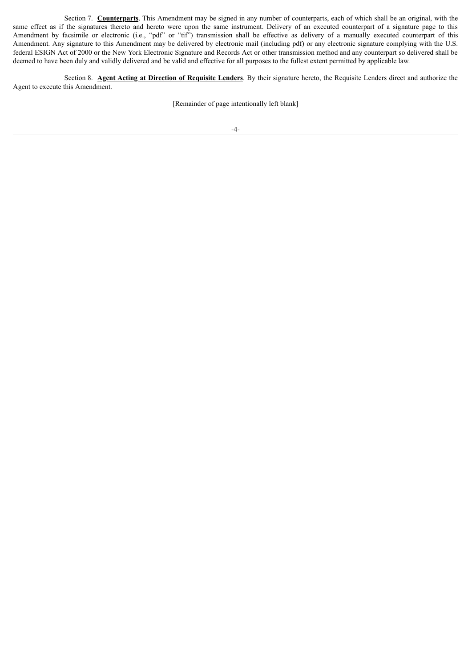Section 7. **Counterparts**. This Amendment may be signed in any number of counterparts, each of which shall be an original, with the same effect as if the signatures thereto and hereto were upon the same instrument. Delivery of an executed counterpart of a signature page to this Amendment by facsimile or electronic (i.e., "pdf" or "tif") transmission shall be effective as delivery of a manually executed counterpart of this Amendment. Any signature to this Amendment may be delivered by electronic mail (including pdf) or any electronic signature complying with the U.S. federal ESIGN Act of 2000 or the New York Electronic Signature and Records Act or other transmission method and any counterpart so delivered shall be deemed to have been duly and validly delivered and be valid and effective for all purposes to the fullest extent permitted by applicable law.

Section 8. **Agent Acting at Direction of Requisite Lenders**. By their signature hereto, the Requisite Lenders direct and authorize the Agent to execute this Amendment.

[Remainder of page intentionally left blank]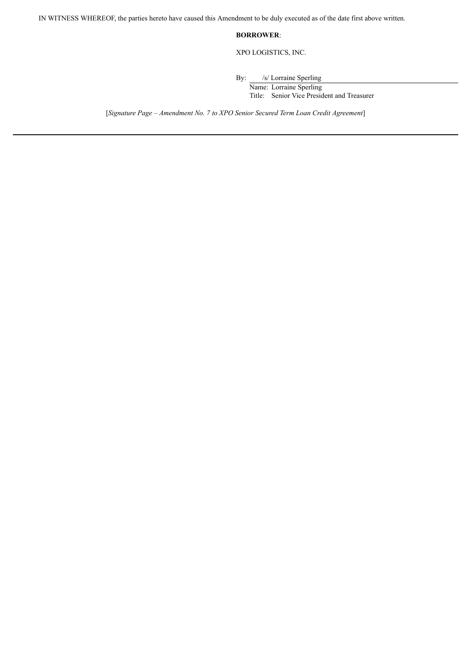IN WITNESS WHEREOF, the parties hereto have caused this Amendment to be duly executed as of the date first above written.

### **BORROWER**:

XPO LOGISTICS, INC.

By: /s/ Lorraine Sperling

Name: Lorraine Sperling Title: Senior Vice President and Treasurer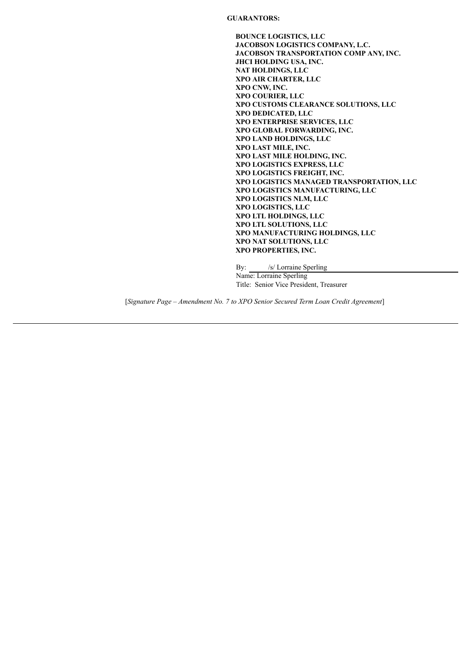**GUARANTORS:**

**BOUNCE LOGISTICS, LLC JACOBSON LOGISTICS COMPANY, L.C. JACOBSON TRANSPORTATION COMP ANY, INC. JHCI HOLDING USA, INC. NAT HOLDINGS, LLC XPO AIR CHARTER, LLC XPO CNW, INC. XPO COURIER, LLC XPO CUSTOMS CLEARANCE SOLUTIONS, LLC XPO DEDICATED, LLC XPO ENTERPRISE SERVICES, LLC XPO GLOBAL FORWARDING, INC. XPO LAND HOLDINGS, LLC XPO LAST MILE, INC. XPO LAST MILE HOLDING, INC. XPO LOGISTICS EXPRESS, LLC XPO LOGISTICS FREIGHT, INC. XPO LOGISTICS MANAGED TRANSPORTATION, LLC XPO LOGISTICS MANUFACTURING, LLC XPO LOGISTICS NLM, LLC XPO LOGISTICS, LLC XPO LTL HOLDINGS, LLC XPO LTL SOLUTIONS, LLC XPO MANUFACTURING HOLDINGS, LLC XPO NAT SOLUTIONS, LLC XPO PROPERTIES, INC.**

By: /s/ Lorraine Sperling Name: Lorraine Sperling Title: Senior Vice President, Treasurer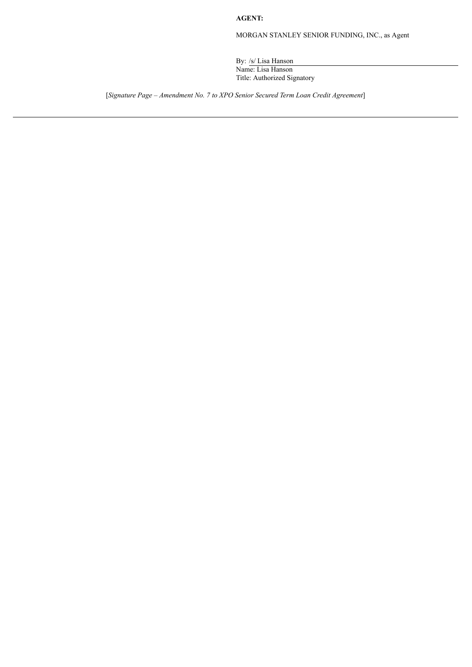**AGENT:**

MORGAN STANLEY SENIOR FUNDING, INC., as Agent

By: /s/ Lisa Hanson Name: Lisa Hanson Title: Authorized Signatory